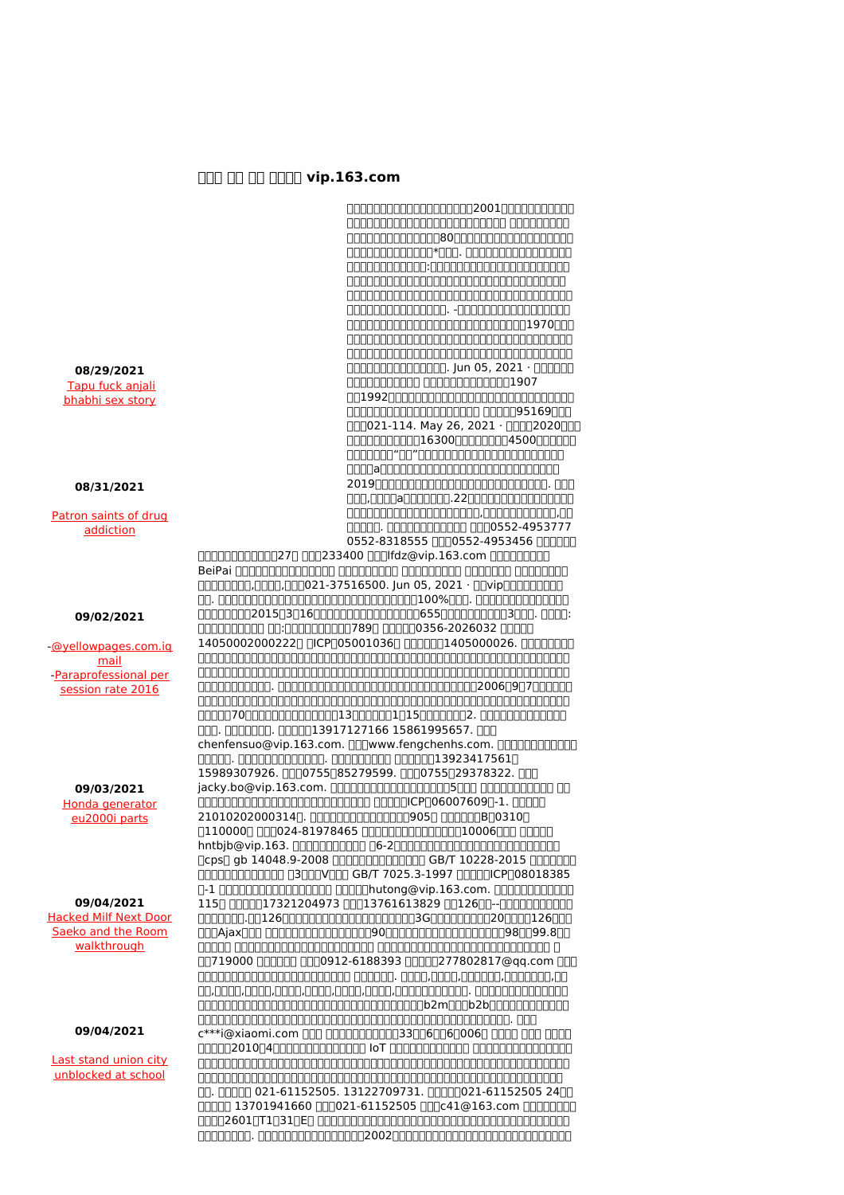# **vip.163.com**

**08/29/2021** Tapu fuck anjali [bhabhi](http://bajbe.pl/7MF) sex story

## **08/31/2021**

Patron saints of drug [addiction](http://bajbe.pl/885)

#### **09/02/2021**

[-@yellowpages.com.iq](http://manufakturawakame.pl/6KK) mail [-Paraprofessional](http://bajbe.pl/za) per session rate 2016

**09/03/2021** Honda [generator](http://manufakturawakame.pl/RRP) eu2000i parts

**09/04/2021** Hacked Milf Next Door Saeko and the Room **[walkthrough](http://manufakturawakame.pl/Bf)** 

## **09/04/2021**

Last stand union city [unblocked](http://bajbe.pl/Z4W) at school

2001 mananananananananananan nananan 80 \*. : <u>mananananananananananananananan</u> . - 1970 000000000000000000000000000000000 <u><u> DODOODOODOODOOD Jun 05, 2021 · DODOO</u></u> 1907 בהחתחתתתחתתת תחתתתחתתת 1992 95169 0021-114. May 26, 2021 · 0000202000 0000000001630000000000450000000 000000"00"0000000000000000000000 a 2019. 000,00004000000.220000000000000000 ,, . 0552-4953777 0552-8318555 0552-4953456 00000000000270 00233400 000lfdz@vip.163.com 00000000 BeiPai  $00000000,0000,000021-37516500.$  Jun 05, 2021 ·  $00$ vip00000000 . 100%. 00000002015030160000000000000000655000000000003000.0000: 000000000 00:00000000007890 000000356-2026032 00000 140500020002220 0CP0050010360 000001405000026. 0000000 . 200697 0000700000000000000000130000001015000000002.0000000000000 000. 0000000. 0000013917127166 15861995657. 000 chenfensuo@vip.163.com. www.fengchenhs.com. . . 13923417561 15989307926. 000755085279599. 000755029378322. 000 jacky.bo@vip.163.com. 0000000000000000005000 00000000000 00 ICP06007609-1. 21010202000314. 905 B0310 110000 024-81978465 10006 hntbjb@vip.163. 6-2 **Cos gb 14048.9-2008 GB0000000000 GB/T 10228-2015 GB0000** 000000000000 03000V000 GB/T 7025.3-1997 000000CP008018385 -1 hutong@vip.163.com. 1150 000017321204973 00013761613829 0012600--0000000000 000000.0012600000000000000000000360000000000020000126000 Ajax 909899.8 00719000 00000 0000912-6188393 00000277802817@qq.com . ,,,, ,,,,,,,. b2mb2b . c\*\*\*i@xiaomi.com 3366006 20104 IoT 00. 00000 021-61152505. 13122709731. 0000021-61152505 2400 0000 13701941660 000021-61152505 000c41@163.com 0000000 2601T131E . 2002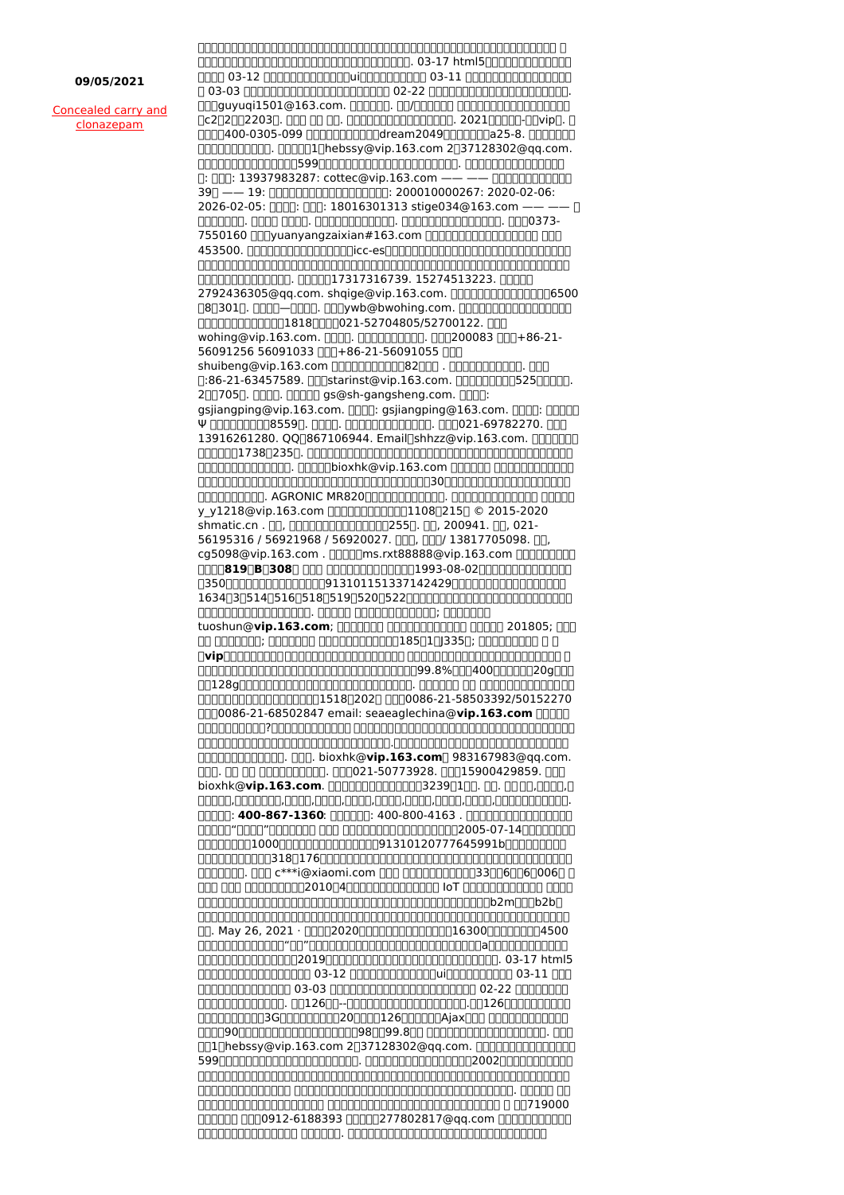### **09/05/2021**

Concealed carry and [clonazepam](http://manufakturawakame.pl/m6b)

 . 03-17 html5 03-12 ui 03-11 03-03 02-22 . guyuqi1501@163.com. . / c222203. . . 2021-vip. 0000400-0305-099 00000000000dream2049000000a25-8.000000 . 1hebssy@vip.163.com 237128302@qq.com. 599. : : 13937983287: cottec@vip.163.com —— —— 39 —— 19: : 200010000267: 2020-02-06: 2026-02-05: 000: 000: 18016301313 stige034@163.com -- -- 0 . . . . 0373- 7550160 DO yuanyangzaixian#163.com DO DO DO DO DO DO DO DO 453500. icc-es 00000000000000000. 0000017317316739. 15274513223. 00000 2792436305@qq.com. shqige@vip.163.com. 00000000000000006500 8301. —. ywb@bwohing.com. 1818021-52704805/52700122. wohing@vip.163.com. [1000. 000000000. 000200083 000+86-21-56091256 56091033 00+86-21-56091055 00  $shuibeng@vip.163.com$  .  $\Box$  .  $\Box$  .  $\Box$  .  $\Box$  .  $\Box$  .  $\Box$  .  $\Box$  .  $\Box$  .  $\Box$  $[]$ :86-21-63457589.  $[]$  starinst@vip.163.com.  $[]$   $[]$   $[]$  $[]$  $[]$  $[]$  $[]$  $[]$  $[]$  $[]$ . 2007050. 0000. 00000 gs@sh-gangsheng.com. 0000: gsjiangping@vip.163.com. [ completed providing @163.com. [ completed providing  $g$ Ψ 0000000085590. 0000. 000000000000. 000021-69782270. 000 13916261280. QQ[367106944. Email[]shhzz@vip.163.com. [][][][][] 1738235. . bioxhk@vip.163.com 30 000000000. AGRONIC MR820000000000000. 0000000000000 00000 y\_y1218@vip.163.com [100000000001108[215[] © 2015-2020 shmatic.cn . , 255. , 200941. , 021- 56195316 / 56921968 / 56920027. 미미, 미미 13817705098. 미, cg5098@vip.163.com . mmgms.rxt88888@vip.163.com mmgmmm **819B308** 1993-08-02 350913101151337142429 16343514516518519520522 . ; tuoshun@**vip.163.com**; 201805; ria ananana; ananana anananananana 18501013350; anananana a a **vip** 99.8%40020g 128g. 1518202 0086-21-58503392/50152270 0086-21-68502847 email: seaeaglechina@**vip.163.com** ? . . . bioxhk@**vip.163.com** 983167983@qq.com. 000. 00 00 000000000. 000021-50773928. 00015900429859. 000 bioxhk@vip.163.com. 00000000000032390100. 00. 0000.0000.0 ,,,,,,,,,. 0000: **400-867-1360**: 00000: 400-800-4163 . 00000000000000 "" 2005-07-14 0000000100000000000000000091310120777645991b00000000 318176 . c\*\*\*i@xiaomi.com 3366006 000 000 000000000201004000000000000000 1oT 000000000000 0000 b2mb2b . May 26, 2021 · 2020163004500 ""a 2019. 03-17 html5 03-12 ui 03-11 03-03 02-22 . 126--.126 3G20126Ajax 909899.8 . 1hebssy@vip.163.com 237128302@qq.com. 599. 2002 . 719000 0912-6188393 277802817@qq.com .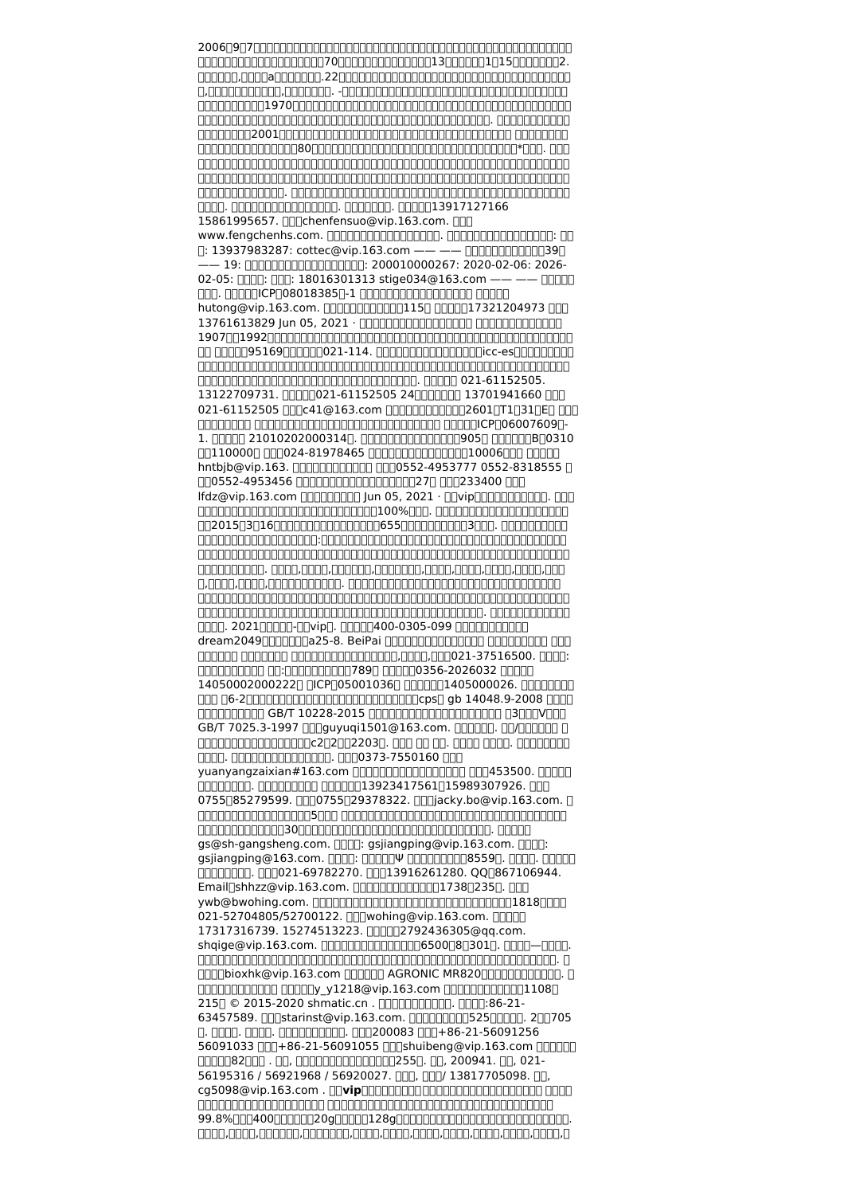200697 00000000000000000070000000000000000013000000101500000002. ,a.22 ,,. - 1970 . 2001 80\*. . . . . 13917127166 15861995657. com Chenfensuo@vip.163.com. www.fengchenhs.com. . :  $\Box$ : 13937983287: cottec@vip.163.com —— ——  $\Box$ —— 19: : 200010000267: 2020-02-06: 2026-  $02-05: \Box \Box \Box \Box \Box$ : 18016301313 stige034@163.com —— ——  $\Box \Box \Box \Box$ 000. 000001CP080183850-1 00000000000000000 00000 hutong@vip.163.com. 0000000000001150 0000017321204973 000 13761613829 Jun 05, 2021 · 0000000000000000 0000000000000 19071992 00 000009516900000021-114. 000000000000000000icc-es000000000 . 021-61152505. 13122709731. 0000021-61152505 24000000 13701941660 000 021-61152505 **com 0300000000000000000001010310E**0 000 ICP06007609- 1. 00000 210102020003140. 00000000000000009050 00000800310 110000 024-81978465 10006 hntbjb@vip.163. 0552-4953777 0552-8318555 00552-4953456 0000000000000000000270 000233400 000 lfdz@vip.163.com Jun 05, 2021 · vip. 100%. 20153166553. : . ,,,,,,,, ,,,. . 0000. 202100000-00vip0. 00000400-0305-099 00000000000 dream2049a25-8. BeiPai ,,021-37516500. : 000000000 00:00000000007890 000000356-2026032 00000 140500020002220 DICP050010360 000001405000026. 0000000 6-2cps gb 14048.9-2008 GB/T 10228-2015 300000000000000000 3000Y000 GB/T 7025.3-1997 guyuqi1501@163.com. . / c222203. . . nnn. nnnnnnnnnnnnnnnnnnnnnnn 1973-7550160 nnn yuanyangzaixian#163.com 1000000000000000 100453500. 10000 . 1392341756115989307926. 0755[85279599. [ 0755 [ 29378322. [ 0 ] jacky.bo@vip.163.com. [ ] 5 30. gs@sh-gangsheng.com. [ [ 0] gsjiangping@vip.163.com. [ 0] [ 0] : gsjiangping@163.com. 0000: 00000V 00000000085590. 0000. 00000 1000000. 000021-69782270. 00013916261280. QQ0867106944. Email[shhzz@vip.163.com. [1000000000001738[235]. [100 ywb@bwohing.com. 000000000000000000000000000000000018180000 021-52704805/52700122. mmwohing@vip.163.com. 17317316739. 15274513223. <sup>0000</sup>2792436305@qq.com. shqige@vip.163.com. 0000000000000065000803010. 0000-0000. . bioxhk@vip.163.com AGRONIC MR820. 00000000000 0000y\_y1218@vip.163.com 00000000000011080 215 © 2015-2020 shmatic.cn . 0000000000. 000:86-21-63457589. com. 000005250000. 200705  $0.0000$ . 0000. 0000000000. 000200083 000+86-21-56091256 56091033 000+86-21-56091055 000shuibeng@vip.163.com 00000 000082000 . 00, 0000000000000002550. 00, 200941. 00, 021-56195316 / 56921968 / 56920027. 미미, 미미 13817705098. 미, cg5098@vip.163.com . **vip** 99.8%40020g128g. ,,,,,,,,,,,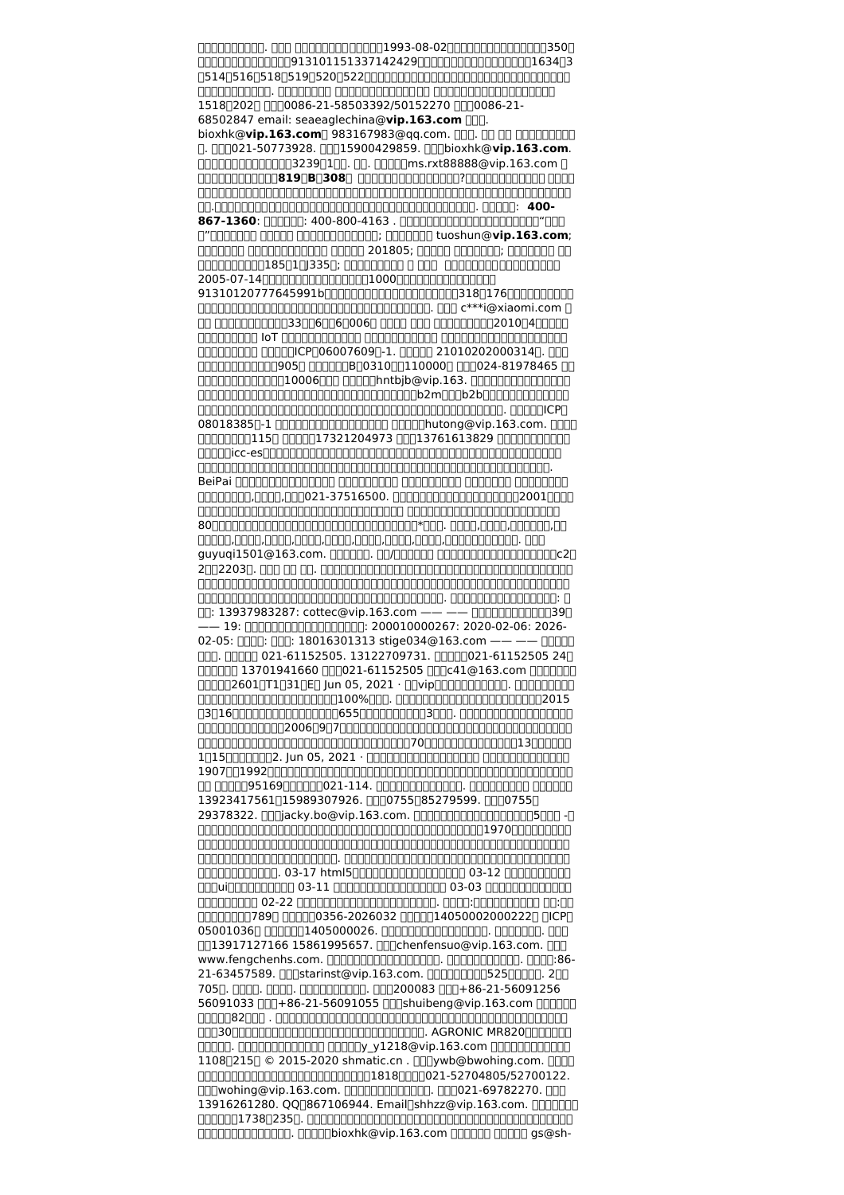. 1993-08-02350 91310115133714242916343 514516518519520522 . 151802020 00086-21-58503392/50152270 00086-21-68502847 email: seaeaglechina@vip.163.com nnn. bioxhk@**vip.163.com** 983167983@qq.com. . . 021-50773928. 15900429859. bioxhk@**vip.163.com**. nnnnnnnnnnnn13239n1nn. nn. nnnnnms.rxt88888@vip.163.com n **819B308** ? .. : **400- 867-1360**: : 400-800-4163 . " 0"0000000 00000 000000000000; 0000000 tuoshun@vip.163.com; 000000 00000000000 00000 201805; 00000 0000000; 000000 00 1851J335; 2005-07-141000 91310120777645991b00000000000000000003180176000000000 . c\*\*\*i@xiaomi.com 3366006 20104 IoT 00000000 00000 CP060076090-1. 00000 210102020003140. 000 000000000009050 000008003100001100000 000024-81978465 00 10006 hntbjb@vip.163. b2mb2b . ICP 080183850-1 000000000000000000 00000hutong@vip.163.com. 0000 00000001150 000017321204973 00013761613829 000000000 icc-es . BeiPai ,,021-37516500. 2001 80 התחתתתתתתתתתתתתתתתתתתתתתתתתתתתתתת ,,,,,,,,. guyuqi1501@163.com. . / c2 22203. . . :  $\Box$ : 13937983287: cottec@vip.163.com -- --  $\Box$ — 19: □□□□□□□□□□□□□□□□□□□□□□□□ 200010000267: 2020-02-06: 2026- $02-05:$   $\Box$  $\Box$  $\Box$ : 18016301313 stige034@163.com —— —  $\Box$  $\Box$  $\Box$ 000. 00000 021-61152505. 13122709731. 0000021-61152505 240 00000 13701941660 00021-61152505 000c41@163.com 000000 000026010T10310E0 Jun 05, 2021 · 00vip00000000000. 000000000 100%. 2015 3166553. 200697 7013 1152. Jun 05, 2021 · 19071992 00 000009516900000021-114. 0000000000000. 00000000 000000 13923417561[]15989307926. [[[[0755[]85279599. [[[[0755]] 29378322. jacky.bo@vip.163.com. 5 - 1970 . 00000000000. 03-17 html5000000000000000000 03-12 0000000000 ui 03-11 03-03 00000000 02-22 0000000000000000000000. 0000:000000000 00:00 00000007890 00000356-2026032 00000140500020002220 0CPD 05001036 1000001405000026. 00000000000000000. 0000000. 000  $\square$ 13917127166 15861995657.  $\square$  $\square$ chenfensuo@vip.163.com.  $\square\square$  $www.fengchenhs.com. 011111110101010101010101.010101010101.0101:86-$ 21-63457589.  $\Box$ Starinst@vip.163.com.  $\Box$  $\Box$  $\Box$  $\Box$  $\Box$ 525 $\Box$  $\Box$  $\Box$ . 2 $\Box$ 7050. 0000. 0000. 000000000. 000200083 000+86-21-56091256 56091033 nn +86-21-56091055 nn shuibeng@vip.163.com nn nn nn 82 . 30. AGRONIC MR820 00000. 0000000000000 00000y\_y1218@vip.163.com 000000000000 1108[215] © 2015-2020 shmatic.cn . [[[[]ywb@bwohing.com. [[[[] 1818021-52704805/52700122. wohing@vip.163.com. . 021-69782270. 13916261280. QQ[367106944. Email[]shhzz@vip.163.com. [][][][][] 1738235. . bioxhk@vip.163.com gs@sh